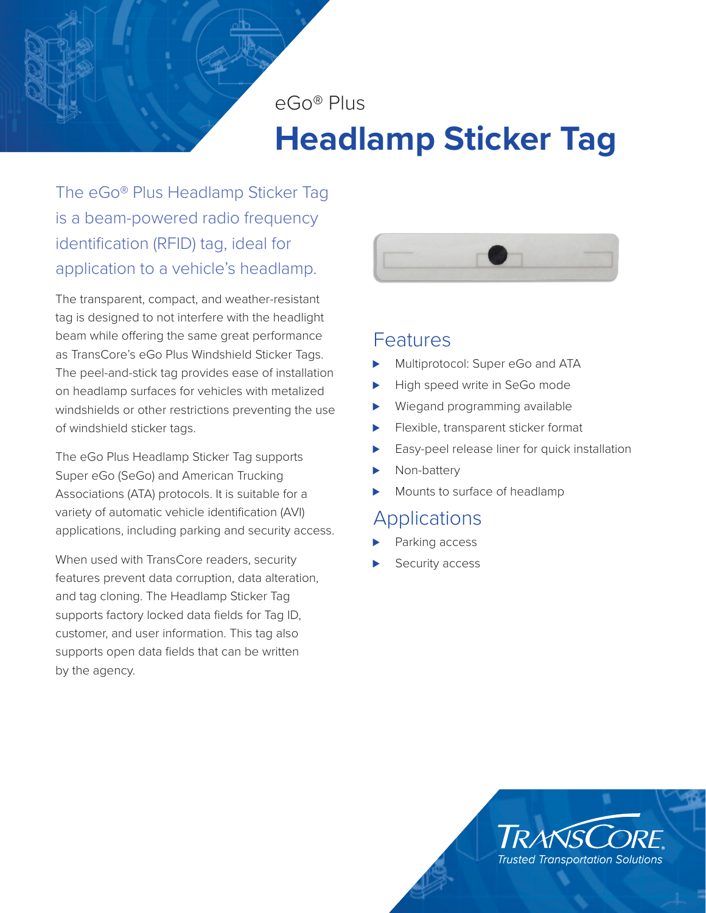eGo® Plus

# **Headlamp Sticker Tag**

The eGo® Plus Headlamp Sticker Tag is a beam-powered radio frequency identification (RFID) tag, ideal for application to a vehicle's headlamp.

The transparent, compact, and weather-resistant tag is designed to not interfere with the headlight beam while offering the same great performance as TransCore's eGo Plus Windshield Sticker Tags. The peel-and-stick tag provides ease of installation on headlamp surfaces for vehicles with metalized windshields or other restrictions preventing the use of windshield sticker tags.

The eGo Plus Headlamp Sticker Tag supports Super eGo (SeGo) and American Trucking Associations (ATA) protocols. It is suitable for a variety of automatic vehicle identification (AVI) applications, including parking and security access.

When used with TransCore readers, security features prevent data corruption, data alteration, and tag cloning. The Headlamp Sticker Tag supports factory locked data fields for Tag ID, customer, and user information. This tag also supports open data fields that can be written by the agency.



## Features

- Multiprotocol: Super eGo and ATA
- High speed write in SeGo mode
- Wiegand programming available
- Flexible, transparent sticker format
- Easy-peel release liner for quick installation
- Non-battery
- Mounts to surface of headlamp

# **Applications**

- Parking access
- Security access